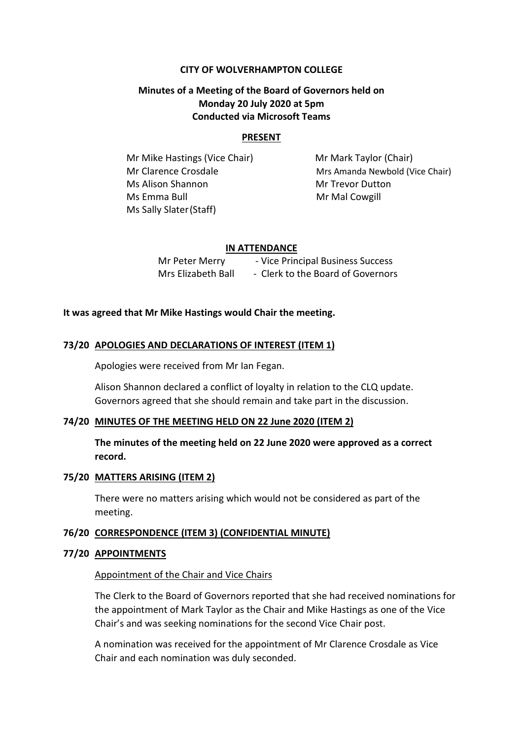#### **CITY OF WOLVERHAMPTON COLLEGE**

# **Minutes of a Meeting of the Board of Governors held on Monday 20 July 2020 at 5pm Conducted via Microsoft Teams**

#### **PRESENT**

Mr Mike Hastings (Vice Chair) Mr Mark Taylor (Chair) Ms Alison Shannon Mr Trevor Dutton Ms Emma Bull Mr Mal Cowgill Ms Sally Slater(Staff)

Mr Clarence Crosdale Mrs Amanda Newbold (Vice Chair)

#### **IN ATTENDANCE**

Mr Peter Merry - Vice Principal Business Success Mrs Elizabeth Ball - Clerk to the Board of Governors

#### **It was agreed that Mr Mike Hastings would Chair the meeting.**

#### **73/20 APOLOGIES AND DECLARATIONS OF INTEREST (ITEM 1)**

Apologies were received from Mr Ian Fegan.

Alison Shannon declared a conflict of loyalty in relation to the CLQ update. Governors agreed that she should remain and take part in the discussion.

#### **74/20 MINUTES OF THE MEETING HELD ON 22 June 2020 (ITEM 2)**

**The minutes of the meeting held on 22 June 2020 were approved as a correct record.**

#### **75/20 MATTERS ARISING (ITEM 2)**

There were no matters arising which would not be considered as part of the meeting.

#### **76/20 CORRESPONDENCE (ITEM 3) (CONFIDENTIAL MINUTE)**

#### **77/20 APPOINTMENTS**

#### Appointment of the Chair and Vice Chairs

The Clerk to the Board of Governors reported that she had received nominations for the appointment of Mark Taylor as the Chair and Mike Hastings as one of the Vice Chair's and was seeking nominations for the second Vice Chair post.

A nomination was received for the appointment of Mr Clarence Crosdale as Vice Chair and each nomination was duly seconded.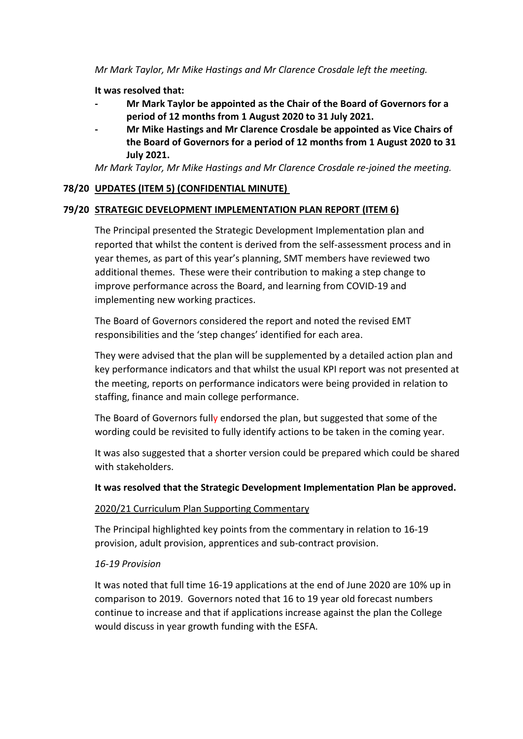*Mr Mark Taylor, Mr Mike Hastings and Mr Clarence Crosdale left the meeting.*

**It was resolved that:**

- **- Mr Mark Taylor be appointed as the Chair of the Board of Governors for a period of 12 months from 1 August 2020 to 31 July 2021.**
- **- Mr Mike Hastings and Mr Clarence Crosdale be appointed as Vice Chairs of the Board of Governors for a period of 12 months from 1 August 2020 to 31 July 2021.**

*Mr Mark Taylor, Mr Mike Hastings and Mr Clarence Crosdale re-joined the meeting.*

# **78/20 UPDATES (ITEM 5) (CONFIDENTIAL MINUTE)**

# **79/20 STRATEGIC DEVELOPMENT IMPLEMENTATION PLAN REPORT (ITEM 6)**

The Principal presented the Strategic Development Implementation plan and reported that whilst the content is derived from the self-assessment process and in year themes, as part of this year's planning, SMT members have reviewed two additional themes. These were their contribution to making a step change to improve performance across the Board, and learning from COVID-19 and implementing new working practices.

The Board of Governors considered the report and noted the revised EMT responsibilities and the 'step changes' identified for each area.

They were advised that the plan will be supplemented by a detailed action plan and key performance indicators and that whilst the usual KPI report was not presented at the meeting, reports on performance indicators were being provided in relation to staffing, finance and main college performance.

The Board of Governors fully endorsed the plan, but suggested that some of the wording could be revisited to fully identify actions to be taken in the coming year.

It was also suggested that a shorter version could be prepared which could be shared with stakeholders.

# **It was resolved that the Strategic Development Implementation Plan be approved.**

# 2020/21 Curriculum Plan Supporting Commentary

The Principal highlighted key points from the commentary in relation to 16-19 provision, adult provision, apprentices and sub-contract provision.

# *16-19 Provision*

It was noted that full time 16-19 applications at the end of June 2020 are 10% up in comparison to 2019. Governors noted that 16 to 19 year old forecast numbers continue to increase and that if applications increase against the plan the College would discuss in year growth funding with the ESFA.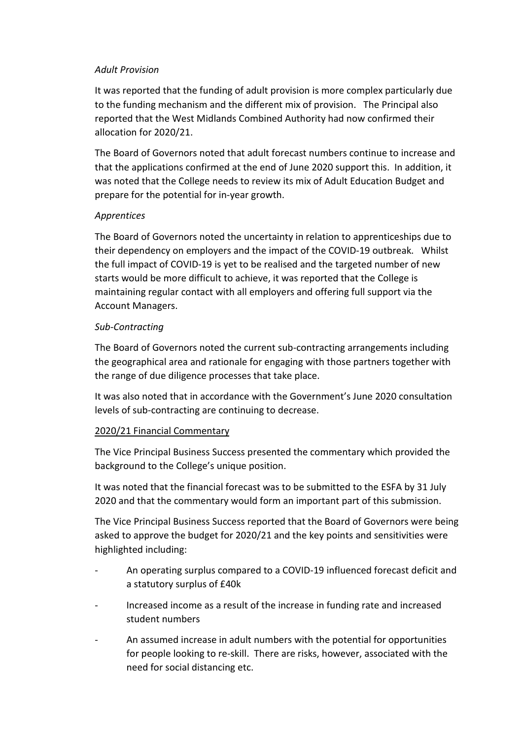### *Adult Provision*

It was reported that the funding of adult provision is more complex particularly due to the funding mechanism and the different mix of provision. The Principal also reported that the West Midlands Combined Authority had now confirmed their allocation for 2020/21.

The Board of Governors noted that adult forecast numbers continue to increase and that the applications confirmed at the end of June 2020 support this. In addition, it was noted that the College needs to review its mix of Adult Education Budget and prepare for the potential for in-year growth.

# *Apprentices*

The Board of Governors noted the uncertainty in relation to apprenticeships due to their dependency on employers and the impact of the COVID-19 outbreak. Whilst the full impact of COVID-19 is yet to be realised and the targeted number of new starts would be more difficult to achieve, it was reported that the College is maintaining regular contact with all employers and offering full support via the Account Managers.

## *Sub-Contracting*

The Board of Governors noted the current sub-contracting arrangements including the geographical area and rationale for engaging with those partners together with the range of due diligence processes that take place.

It was also noted that in accordance with the Government's June 2020 consultation levels of sub-contracting are continuing to decrease.

# 2020/21 Financial Commentary

The Vice Principal Business Success presented the commentary which provided the background to the College's unique position.

It was noted that the financial forecast was to be submitted to the ESFA by 31 July 2020 and that the commentary would form an important part of this submission.

The Vice Principal Business Success reported that the Board of Governors were being asked to approve the budget for 2020/21 and the key points and sensitivities were highlighted including:

- An operating surplus compared to a COVID-19 influenced forecast deficit and a statutory surplus of £40k
- Increased income as a result of the increase in funding rate and increased student numbers
- An assumed increase in adult numbers with the potential for opportunities for people looking to re-skill. There are risks, however, associated with the need for social distancing etc.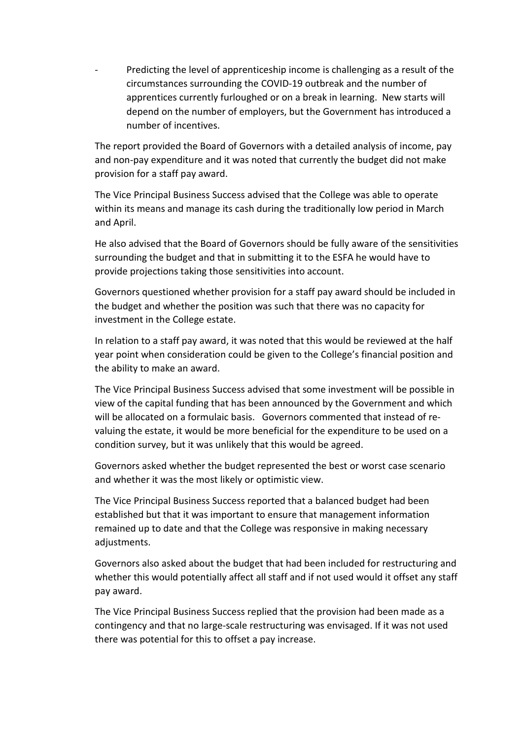Predicting the level of apprenticeship income is challenging as a result of the circumstances surrounding the COVID-19 outbreak and the number of apprentices currently furloughed or on a break in learning. New starts will depend on the number of employers, but the Government has introduced a number of incentives.

The report provided the Board of Governors with a detailed analysis of income, pay and non-pay expenditure and it was noted that currently the budget did not make provision for a staff pay award.

The Vice Principal Business Success advised that the College was able to operate within its means and manage its cash during the traditionally low period in March and April.

He also advised that the Board of Governors should be fully aware of the sensitivities surrounding the budget and that in submitting it to the ESFA he would have to provide projections taking those sensitivities into account.

Governors questioned whether provision for a staff pay award should be included in the budget and whether the position was such that there was no capacity for investment in the College estate.

In relation to a staff pay award, it was noted that this would be reviewed at the half year point when consideration could be given to the College's financial position and the ability to make an award.

The Vice Principal Business Success advised that some investment will be possible in view of the capital funding that has been announced by the Government and which will be allocated on a formulaic basis. Governors commented that instead of revaluing the estate, it would be more beneficial for the expenditure to be used on a condition survey, but it was unlikely that this would be agreed.

Governors asked whether the budget represented the best or worst case scenario and whether it was the most likely or optimistic view.

The Vice Principal Business Success reported that a balanced budget had been established but that it was important to ensure that management information remained up to date and that the College was responsive in making necessary adjustments.

Governors also asked about the budget that had been included for restructuring and whether this would potentially affect all staff and if not used would it offset any staff pay award.

The Vice Principal Business Success replied that the provision had been made as a contingency and that no large-scale restructuring was envisaged. If it was not used there was potential for this to offset a pay increase.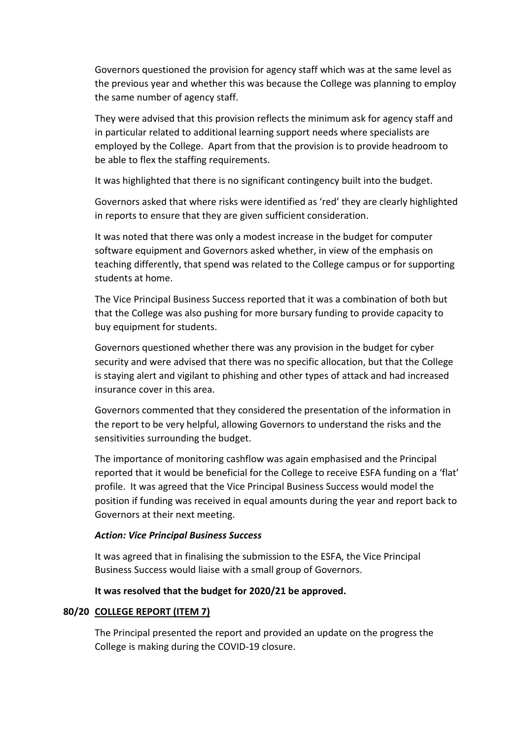Governors questioned the provision for agency staff which was at the same level as the previous year and whether this was because the College was planning to employ the same number of agency staff.

They were advised that this provision reflects the minimum ask for agency staff and in particular related to additional learning support needs where specialists are employed by the College. Apart from that the provision is to provide headroom to be able to flex the staffing requirements.

It was highlighted that there is no significant contingency built into the budget.

Governors asked that where risks were identified as 'red' they are clearly highlighted in reports to ensure that they are given sufficient consideration.

It was noted that there was only a modest increase in the budget for computer software equipment and Governors asked whether, in view of the emphasis on teaching differently, that spend was related to the College campus or for supporting students at home.

The Vice Principal Business Success reported that it was a combination of both but that the College was also pushing for more bursary funding to provide capacity to buy equipment for students.

Governors questioned whether there was any provision in the budget for cyber security and were advised that there was no specific allocation, but that the College is staying alert and vigilant to phishing and other types of attack and had increased insurance cover in this area.

Governors commented that they considered the presentation of the information in the report to be very helpful, allowing Governors to understand the risks and the sensitivities surrounding the budget.

The importance of monitoring cashflow was again emphasised and the Principal reported that it would be beneficial for the College to receive ESFA funding on a 'flat' profile. It was agreed that the Vice Principal Business Success would model the position if funding was received in equal amounts during the year and report back to Governors at their next meeting.

### *Action: Vice Principal Business Success*

It was agreed that in finalising the submission to the ESFA, the Vice Principal Business Success would liaise with a small group of Governors.

### **It was resolved that the budget for 2020/21 be approved.**

### **80/20 COLLEGE REPORT (ITEM 7)**

The Principal presented the report and provided an update on the progress the College is making during the COVID-19 closure.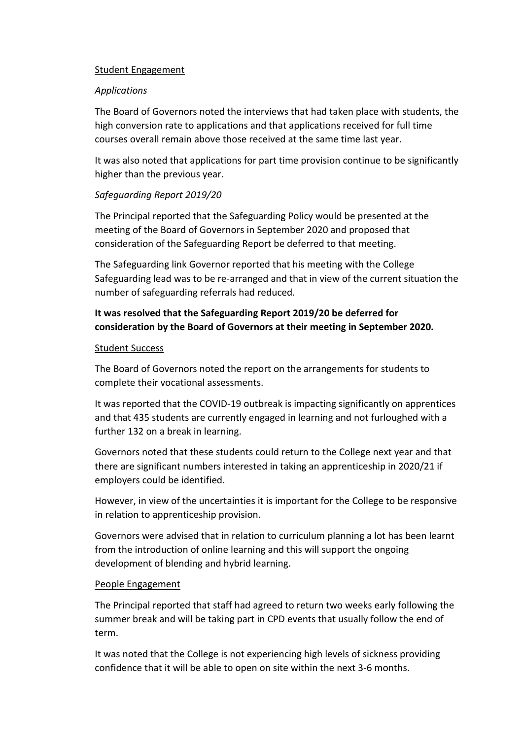### Student Engagement

### *Applications*

The Board of Governors noted the interviews that had taken place with students, the high conversion rate to applications and that applications received for full time courses overall remain above those received at the same time last year.

It was also noted that applications for part time provision continue to be significantly higher than the previous year.

# *Safeguarding Report 2019/20*

The Principal reported that the Safeguarding Policy would be presented at the meeting of the Board of Governors in September 2020 and proposed that consideration of the Safeguarding Report be deferred to that meeting.

The Safeguarding link Governor reported that his meeting with the College Safeguarding lead was to be re-arranged and that in view of the current situation the number of safeguarding referrals had reduced.

# **It was resolved that the Safeguarding Report 2019/20 be deferred for consideration by the Board of Governors at their meeting in September 2020.**

## Student Success

The Board of Governors noted the report on the arrangements for students to complete their vocational assessments.

It was reported that the COVID-19 outbreak is impacting significantly on apprentices and that 435 students are currently engaged in learning and not furloughed with a further 132 on a break in learning.

Governors noted that these students could return to the College next year and that there are significant numbers interested in taking an apprenticeship in 2020/21 if employers could be identified.

However, in view of the uncertainties it is important for the College to be responsive in relation to apprenticeship provision.

Governors were advised that in relation to curriculum planning a lot has been learnt from the introduction of online learning and this will support the ongoing development of blending and hybrid learning.

### People Engagement

The Principal reported that staff had agreed to return two weeks early following the summer break and will be taking part in CPD events that usually follow the end of term.

It was noted that the College is not experiencing high levels of sickness providing confidence that it will be able to open on site within the next 3-6 months.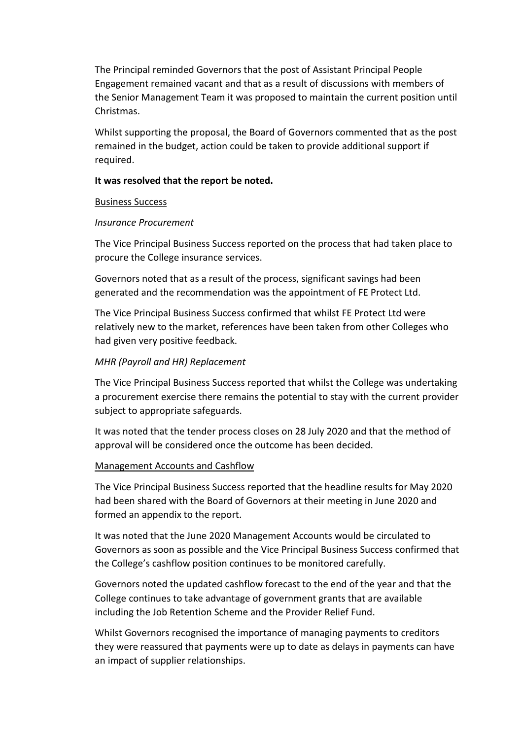The Principal reminded Governors that the post of Assistant Principal People Engagement remained vacant and that as a result of discussions with members of the Senior Management Team it was proposed to maintain the current position until Christmas.

Whilst supporting the proposal, the Board of Governors commented that as the post remained in the budget, action could be taken to provide additional support if required.

#### **It was resolved that the report be noted.**

#### Business Success

#### *Insurance Procurement*

The Vice Principal Business Success reported on the process that had taken place to procure the College insurance services.

Governors noted that as a result of the process, significant savings had been generated and the recommendation was the appointment of FE Protect Ltd.

The Vice Principal Business Success confirmed that whilst FE Protect Ltd were relatively new to the market, references have been taken from other Colleges who had given very positive feedback.

### *MHR (Payroll and HR) Replacement*

The Vice Principal Business Success reported that whilst the College was undertaking a procurement exercise there remains the potential to stay with the current provider subject to appropriate safeguards.

It was noted that the tender process closes on 28 July 2020 and that the method of approval will be considered once the outcome has been decided.

### Management Accounts and Cashflow

The Vice Principal Business Success reported that the headline results for May 2020 had been shared with the Board of Governors at their meeting in June 2020 and formed an appendix to the report.

It was noted that the June 2020 Management Accounts would be circulated to Governors as soon as possible and the Vice Principal Business Success confirmed that the College's cashflow position continues to be monitored carefully.

Governors noted the updated cashflow forecast to the end of the year and that the College continues to take advantage of government grants that are available including the Job Retention Scheme and the Provider Relief Fund.

Whilst Governors recognised the importance of managing payments to creditors they were reassured that payments were up to date as delays in payments can have an impact of supplier relationships.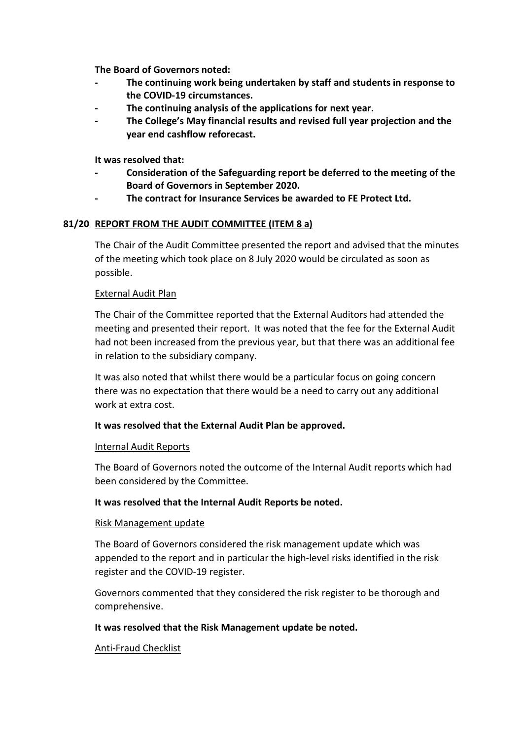**The Board of Governors noted:**

- **- The continuing work being undertaken by staff and students in response to the COVID-19 circumstances.**
- **- The continuing analysis of the applications for next year.**
- **- The College's May financial results and revised full year projection and the year end cashflow reforecast.**

**It was resolved that:**

- **- Consideration of the Safeguarding report be deferred to the meeting of the Board of Governors in September 2020.**
- **- The contract for Insurance Services be awarded to FE Protect Ltd.**

## **81/20 REPORT FROM THE AUDIT COMMITTEE (ITEM 8 a)**

The Chair of the Audit Committee presented the report and advised that the minutes of the meeting which took place on 8 July 2020 would be circulated as soon as possible.

### External Audit Plan

The Chair of the Committee reported that the External Auditors had attended the meeting and presented their report. It was noted that the fee for the External Audit had not been increased from the previous year, but that there was an additional fee in relation to the subsidiary company.

It was also noted that whilst there would be a particular focus on going concern there was no expectation that there would be a need to carry out any additional work at extra cost.

# **It was resolved that the External Audit Plan be approved.**

### Internal Audit Reports

The Board of Governors noted the outcome of the Internal Audit reports which had been considered by the Committee.

### **It was resolved that the Internal Audit Reports be noted.**

### Risk Management update

The Board of Governors considered the risk management update which was appended to the report and in particular the high-level risks identified in the risk register and the COVID-19 register.

Governors commented that they considered the risk register to be thorough and comprehensive.

### **It was resolved that the Risk Management update be noted.**

### Anti-Fraud Checklist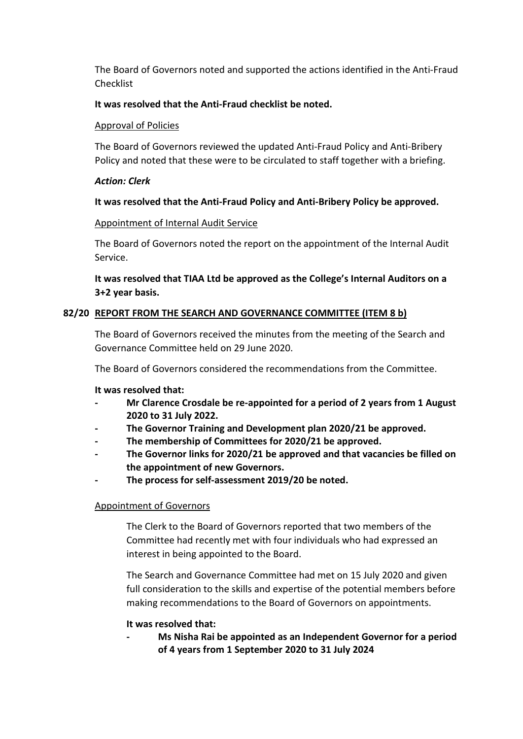The Board of Governors noted and supported the actions identified in the Anti-Fraud Checklist

## **It was resolved that the Anti-Fraud checklist be noted.**

### Approval of Policies

The Board of Governors reviewed the updated Anti-Fraud Policy and Anti-Bribery Policy and noted that these were to be circulated to staff together with a briefing.

### *Action: Clerk*

## **It was resolved that the Anti-Fraud Policy and Anti-Bribery Policy be approved.**

## Appointment of Internal Audit Service

The Board of Governors noted the report on the appointment of the Internal Audit Service.

# **It was resolved that TIAA Ltd be approved as the College's Internal Auditors on a 3+2 year basis.**

# **82/20 REPORT FROM THE SEARCH AND GOVERNANCE COMMITTEE (ITEM 8 b)**

The Board of Governors received the minutes from the meeting of the Search and Governance Committee held on 29 June 2020.

The Board of Governors considered the recommendations from the Committee.

### **It was resolved that:**

- **- Mr Clarence Crosdale be re-appointed for a period of 2 years from 1 August 2020 to 31 July 2022.**
- **- The Governor Training and Development plan 2020/21 be approved.**
- **- The membership of Committees for 2020/21 be approved.**
- **- The Governor links for 2020/21 be approved and that vacancies be filled on the appointment of new Governors.**
- **- The process for self-assessment 2019/20 be noted.**

# Appointment of Governors

The Clerk to the Board of Governors reported that two members of the Committee had recently met with four individuals who had expressed an interest in being appointed to the Board.

The Search and Governance Committee had met on 15 July 2020 and given full consideration to the skills and expertise of the potential members before making recommendations to the Board of Governors on appointments.

### **It was resolved that:**

**- Ms Nisha Rai be appointed as an Independent Governor for a period of 4 years from 1 September 2020 to 31 July 2024**